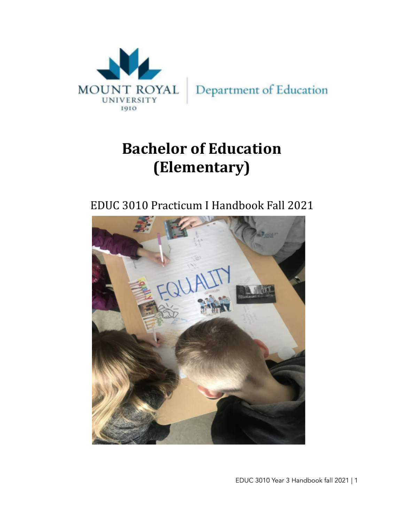

# **Bachelor of Education (Elementary)**

EDUC 3010 Practicum I Handbook Fall 2021



EDUC 3010 Year 3 Handbook fall 2021 | 1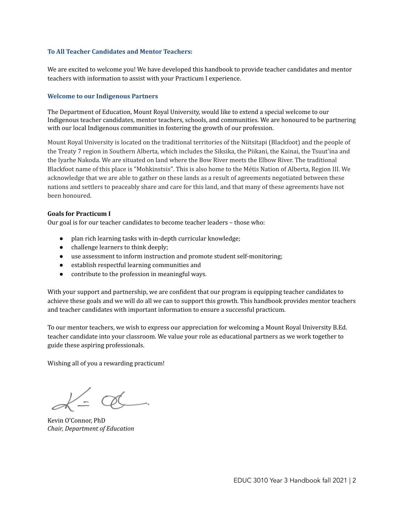### **To All Teacher Candidates and Mentor Teachers:**

We are excited to welcome you! We have developed this handbook to provide teacher candidates and mentor teachers with information to assist with your Practicum I experience.

### **Welcome to our Indigenous Partners**

The Department of Education, Mount Royal University, would like to extend a special welcome to our Indigenous teacher candidates, mentor teachers, schools, and communities. We are honoured to be partnering with our local Indigenous communities in fostering the growth of our profession.

Mount Royal University is located on the traditional territories of the Niitsitapi (Blackfoot) and the people of the Treaty 7 region in Southern Alberta, which includes the Siksika, the Piikani, the Kainai, the Tsuut'ina and the Iyarhe Nakoda. We are situated on land where the Bow River meets the Elbow River. The traditional Blackfoot name of this place is "Mohkinstsis". This is also home to the Métis Nation of Alberta, Region III. We acknowledge that we are able to gather on these lands as a result of agreements negotiated between these nations and settlers to peaceably share and care for this land, and that many of these agreements have not been honoured.

#### **Goals for Practicum I**

Our goal is for our teacher candidates to become teacher leaders – those who:

- plan rich learning tasks with in-depth curricular knowledge;
- challenge learners to think deeply;
- use assessment to inform instruction and promote student self-monitoring;
- establish respectful learning communities and
- contribute to the profession in meaningful ways.

With your support and partnership, we are confident that our program is equipping teacher candidates to achieve these goals and we will do all we can to support this growth. This handbook provides mentor teachers and teacher candidates with important information to ensure a successful practicum.

To our mentor teachers, we wish to express our appreciation for welcoming a Mount Royal University B.Ed. teacher candidate into your classroom. We value your role as educational partners as we work together to guide these aspiring professionals.

Wishing all of you a rewarding practicum!

Kevin O'Connor, PhD *Chair, Department of Education*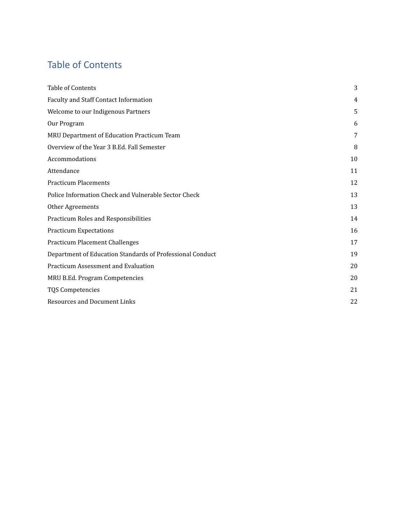# <span id="page-2-0"></span>Table of Contents

| Table of Contents                                         | 3  |
|-----------------------------------------------------------|----|
| Faculty and Staff Contact Information                     | 4  |
| Welcome to our Indigenous Partners                        | 5  |
| Our Program                                               | 6  |
| MRU Department of Education Practicum Team                | 7  |
| Overview of the Year 3 B.Ed. Fall Semester                | 8  |
| Accommodations                                            | 10 |
| Attendance                                                | 11 |
| <b>Practicum Placements</b>                               | 12 |
| Police Information Check and Vulnerable Sector Check      | 13 |
| Other Agreements                                          | 13 |
| Practicum Roles and Responsibilities                      | 14 |
| <b>Practicum Expectations</b>                             | 16 |
| <b>Practicum Placement Challenges</b>                     | 17 |
| Department of Education Standards of Professional Conduct | 19 |
| Practicum Assessment and Evaluation                       | 20 |
| MRU B.Ed. Program Competencies                            | 20 |
| <b>TQS Competencies</b>                                   | 21 |
| <b>Resources and Document Links</b>                       | 22 |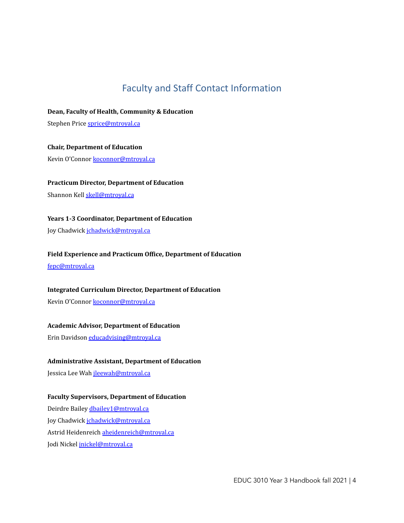# Faculty and Staff Contact Information

<span id="page-3-0"></span>**Dean, Faculty of Health, Community & Education**

Stephen Price [sprice@mtroyal.ca](mailto:sprice@mtroyal.ca)

**Chair, Department of Education** Kevin O'Connor [koconnor@mtroyal.ca](mailto:koconnor@mtroyal.ca)

**Practicum Director, Department of Education**

Shannon Kell [skell@mtroyal.ca](mailto:skell@mtroyal.ca)

**Years 1-3 Coordinator, Department of Education**

Joy Chadwick [jchadwick@mtroyal.ca](mailto:jchadwick@mtroyal.ca)

**Field Experience and Practicum Office, Department of Education**

[fepc@mtroyal.ca](mailto:fepc@mtroyal.ca)

**Integrated Curriculum Director, Department of Education**

Kevin O'Connor [koconnor@mtroyal.ca](mailto:koconnor@mtroyal.ca)

### **Academic Advisor, Department of Education**

Erin Davidson [educadvising@mtroyal.ca](mailto:educadvising@mtroyal.ca)

### **Administrative Assistant, Department of Education**

Jessica Lee Wah *[jleewah@mtroyal.ca](mailto:jleewah@mtroyal.ca)* 

### **Faculty Supervisors, Department of Education**

Deirdre Bailey [dbailey1@mtroyal.ca](mailto:dbailey@mtroyal.ca) Joy Chadwick [jchadwick@mtroyal.ca](mailto:jchadwick@mtroyal.ca) Astrid Heidenreich [aheidenreich@mtroyal.ca](mailto:aheidenreich@mtroyal.ca) Jodi Nickel [jnickel@mtroyal.ca](mailto:jnickel@mtroyal.ca)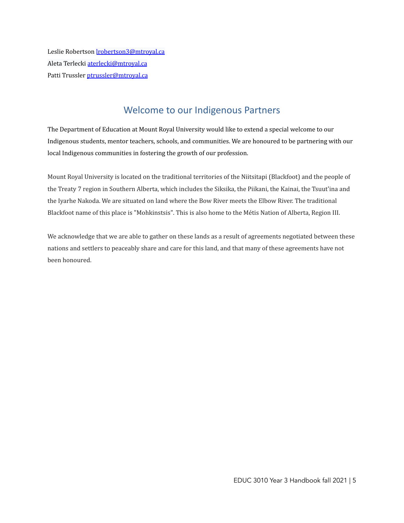Leslie Robertson *Irobertson3@mtroyal.ca* Aleta Terlecki [aterlecki@mtroyal.ca](mailto:aterlecki@mtroyal.ca) Patti Trussler [ptrussler@mtroyal.ca](mailto:ptrussler@mtroyal.ca)

### Welcome to our Indigenous Partners

<span id="page-4-0"></span>The Department of Education at Mount Royal University would like to extend a special welcome to our Indigenous students, mentor teachers, schools, and communities. We are honoured to be partnering with our local Indigenous communities in fostering the growth of our profession.

Mount Royal University is located on the traditional territories of the Niitsitapi (Blackfoot) and the people of the Treaty 7 region in Southern Alberta, which includes the Siksika, the Piikani, the Kainai, the Tsuut'ina and the Iyarhe Nakoda. We are situated on land where the Bow River meets the Elbow River. The traditional Blackfoot name of this place is "Mohkinstsis". This is also home to the Métis Nation of Alberta, Region III.

We acknowledge that we are able to gather on these lands as a result of agreements negotiated between these nations and settlers to peaceably share and care for this land, and that many of these agreements have not been honoured.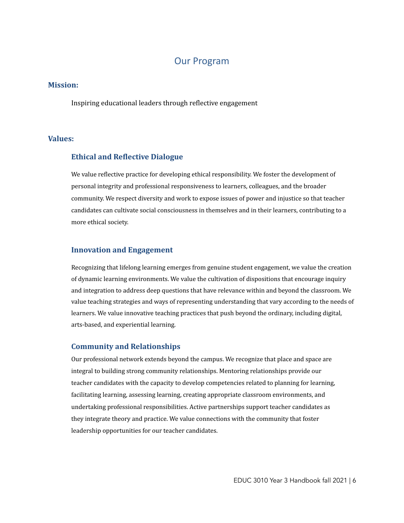### Our Program

### <span id="page-5-0"></span>**Mission:**

Inspiring educational leaders through reflective engagement

### **Values:**

### **Ethical and Reflective Dialogue**

We value reflective practice for developing ethical responsibility. We foster the development of personal integrity and professional responsiveness to learners, colleagues, and the broader community. We respect diversity and work to expose issues of power and injustice so that teacher candidates can cultivate social consciousness in themselves and in their learners, contributing to a more ethical society.

### **Innovation and Engagement**

Recognizing that lifelong learning emerges from genuine student engagement, we value the creation of dynamic learning environments. We value the cultivation of dispositions that encourage inquiry and integration to address deep questions that have relevance within and beyond the classroom. We value teaching strategies and ways of representing understanding that vary according to the needs of learners. We value innovative teaching practices that push beyond the ordinary, including digital, arts-based, and experiential learning.

### **Community and Relationships**

Our professional network extends beyond the campus. We recognize that place and space are integral to building strong community relationships. Mentoring relationships provide our teacher candidates with the capacity to develop competencies related to planning for learning, facilitating learning, assessing learning, creating appropriate classroom environments, and undertaking professional responsibilities. Active partnerships support teacher candidates as they integrate theory and practice. We value connections with the community that foster leadership opportunities for our teacher candidates.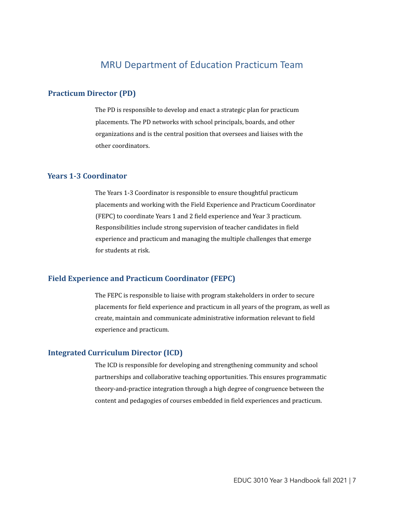### MRU Department of Education Practicum Team

### <span id="page-6-0"></span>**Practicum Director (PD)**

The PD is responsible to develop and enact a strategic plan for practicum placements. The PD networks with school principals, boards, and other organizations and is the central position that oversees and liaises with the other coordinators.

### **Years 1-3 Coordinator**

The Years 1-3 Coordinator is responsible to ensure thoughtful practicum placements and working with the Field Experience and Practicum Coordinator (FEPC) to coordinate Years 1 and 2 field experience and Year 3 practicum. Responsibilities include strong supervision of teacher candidates in field experience and practicum and managing the multiple challenges that emerge for students at risk.

### **Field Experience and Practicum Coordinator (FEPC)**

The FEPC is responsible to liaise with program stakeholders in order to secure placements for field experience and practicum in all years of the program, as well as create, maintain and communicate administrative information relevant to field experience and practicum.

### **Integrated Curriculum Director (ICD)**

The ICD is responsible for developing and strengthening community and school partnerships and collaborative teaching opportunities. This ensures programmatic theory-and-practice integration through a high degree of congruence between the content and pedagogies of courses embedded in field experiences and practicum.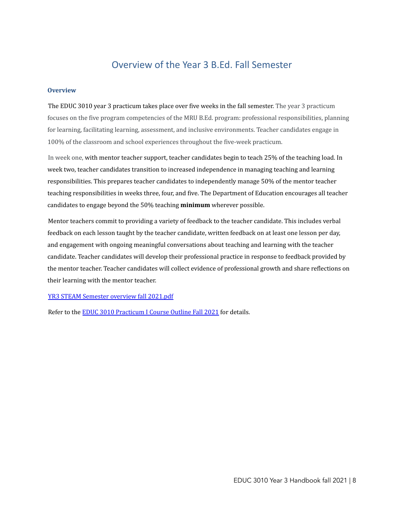### Overview of the Year 3 B.Ed. Fall Semester

### <span id="page-7-0"></span>**Overview**

The EDUC 3010 year 3 practicum takes place over five weeks in the fall semester. The year 3 practicum focuses on the five program competencies of the MRU B.Ed. program: professional responsibilities, planning for learning, facilitating learning, assessment, and inclusive environments. Teacher candidates engage in 100% of the classroom and school experiences throughout the five-week practicum.

In week one, with mentor teacher support, teacher candidates begin to teach 25% of the teaching load. In week two, teacher candidates transition to increased independence in managing teaching and learning responsibilities. This prepares teacher candidates to independently manage 50% of the mentor teacher teaching responsibilities in weeks three, four, and five. The Department of Education encourages all teacher candidates to engage beyond the 50% teaching **minimum** wherever possible.

Mentor teachers commit to providing a variety of feedback to the teacher candidate. This includes verbal feedback on each lesson taught by the teacher candidate, written feedback on at least one lesson per day, and engagement with ongoing meaningful conversations about teaching and learning with the teacher candidate. Teacher candidates will develop their professional practice in response to feedback provided by the mentor teacher. Teacher candidates will collect evidence of professional growth and share reflections on their learning with the mentor teacher.

YR3 STEAM [Semester](https://drive.google.com/file/d/16YhXMB_i0Tk9wkao_RXCzvDrvbEr4ywg/view?usp=sharing) overview fall 2021.pdf

Refer to the EDUC 3010 [Practicum](https://docs.google.com/document/d/1wmCb-0KcrOLz2P5lvDL22W4sCO08FE9IuJGg5GDDh6Q/edit?usp=sharing) I Course Outline Fall 2021 for details.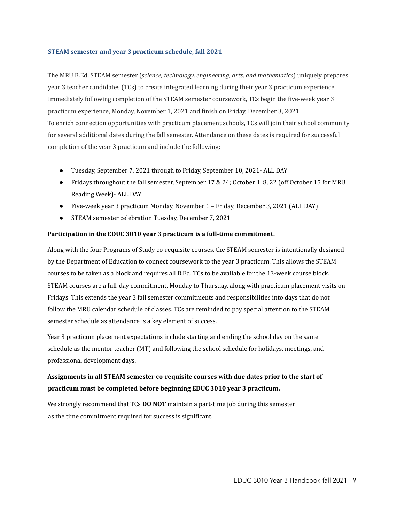### **STEAM semester and year 3 practicum schedule, fall 2021**

The MRU B.Ed. STEAM semester (*science, technology, engineering, arts, and mathematics*) uniquely prepares year 3 teacher candidates (TCs) to create integrated learning during their year 3 practicum experience. Immediately following completion of the STEAM semester coursework, TCs begin the five-week year 3 practicum experience, Monday, November 1, 2021 and finish on Friday, December 3, 2021. To enrich connection opportunities with practicum placement schools, TCs will join their school community for several additional dates during the fall semester. Attendance on these dates is required for successful completion of the year 3 practicum and include the following:

- Tuesday, September 7, 2021 through to Friday, September 10, 2021- ALL DAY
- Fridays throughout the fall semester, September 17 & 24; October 1, 8, 22 (off October 15 for MRU Reading Week)- ALL DAY
- Five-week year 3 practicum Monday, November 1 Friday, December 3, 2021 (ALL DAY)
- STEAM semester celebration Tuesday, December 7, 2021

### **Participation in the EDUC 3010 year 3 practicum is a full-time commitment.**

Along with the four Programs of Study co-requisite courses, the STEAM semester is intentionally designed by the Department of Education to connect coursework to the year 3 practicum. This allows the STEAM courses to be taken as a block and requires all B.Ed. TCs to be available for the 13-week course block. STEAM courses are a full-day commitment, Monday to Thursday, along with practicum placement visits on Fridays. This extends the year 3 fall semester commitments and responsibilities into days that do not follow the MRU calendar schedule of classes. TCs are reminded to pay special attention to the STEAM semester schedule as attendance is a key element of success.

Year 3 practicum placement expectations include starting and ending the school day on the same schedule as the mentor teacher (MT) and following the school schedule for holidays, meetings, and professional development days.

### **Assignments in all STEAM semester co-requisite courses with due dates prior to the start of practicum must be completed before beginning EDUC 3010 year 3 practicum.**

We strongly recommend that TCs **DO NOT** maintain a part-time job during this semester as the time commitment required for success is significant.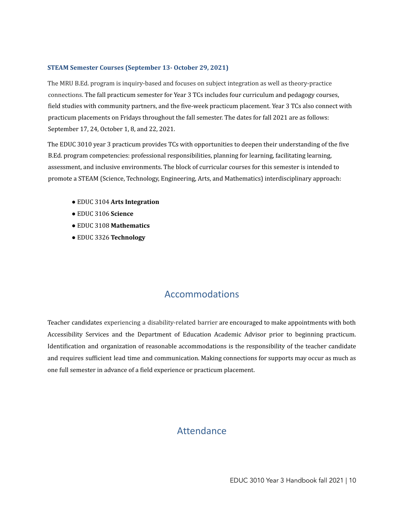### **STEAM Semester Courses (September 13- October 29, 2021)**

The MRU B.Ed. program is inquiry-based and focuses on subject integration as well as theory-practice connections. The fall practicum semester for Year 3 TCs includes four curriculum and pedagogy courses, field studies with community partners, and the five-week practicum placement. Year 3 TCs also connect with practicum placements on Fridays throughout the fall semester. The dates for fall 2021 are as follows: September 17, 24, October 1, 8, and 22, 2021.

The EDUC 3010 year 3 practicum provides TCs with opportunities to deepen their understanding of the five B.Ed. program competencies: professional responsibilities, planning for learning, facilitating learning, assessment, and inclusive environments. The block of curricular courses for this semester is intended to promote a STEAM (Science, Technology, Engineering, Arts, and Mathematics) interdisciplinary approach:

- EDUC 3104 **Arts Integration**
- EDUC 3106 **Science**
- EDUC 3108 **Mathematics**
- EDUC 3326 **Technology**

### Accommodations

<span id="page-9-1"></span><span id="page-9-0"></span>Teacher candidates experiencing a disability-related barrier are encouraged to make appointments with both Accessibility Services and the Department of Education Academic Advisor prior to beginning practicum. Identification and organization of reasonable accommodations is the responsibility of the teacher candidate and requires sufficient lead time and communication. Making connections for supports may occur as much as one full semester in advance of a field experience or practicum placement.

### **Attendance**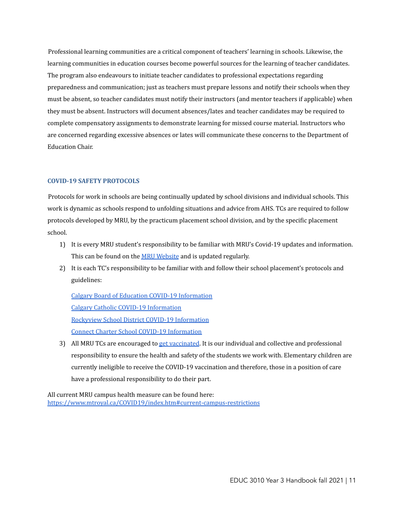Professional learning communities are a critical component of teachers' learning in schools. Likewise, the learning communities in education courses become powerful sources for the learning of teacher candidates. The program also endeavours to initiate teacher candidates to professional expectations regarding preparedness and communication; just as teachers must prepare lessons and notify their schools when they must be absent, so teacher candidates must notify their instructors (and mentor teachers if applicable) when they must be absent. Instructors will document absences/lates and teacher candidates may be required to complete compensatory assignments to demonstrate learning for missed course material. Instructors who are concerned regarding excessive absences or lates will communicate these concerns to the Department of Education Chair.

### **COVID-19 SAFETY PROTOCOLS**

Protocols for work in schools are being continually updated by school divisions and individual schools. This work is dynamic as schools respond to unfolding situations and advice from AHS. TCs are required to follow protocols developed by MRU, by the practicum placement school division, and by the specific placement school.

- 1) It is every MRU student's responsibility to be familiar with MRU's Covid-19 updates and information. This can be found on the MRU [Website](https://www.mtroyal.ca/COVID19/index.htm) and is updated regularly.
- 2) It is each TC's responsibility to be familiar with and follow their school placement's protocols and guidelines:

Calgary Board of Education COVID-19 [Information](https://cbe.ab.ca/about-us/school-culture-and-environment/health-and-wellness-in-school/Pages/coronavirus.aspx) Calgary Catholic COVID-19 [Information](https://www.cssd.ab.ca/covid-19) Rockyview School District COVID-19 [Information](https://www.rockyview.ab.ca/school-re-entry-plan/) Connect Charter School COVID-19 [Information](https://connectcharter.ca/covid-19/)

3) All MRU TCs are encouraged to get [vaccinated](https://www.alberta.ca/covid19-vaccine.aspx). It is our individual and collective and professional responsibility to ensure the health and safety of the students we work with. Elementary children are currently ineligible to receive the COVID-19 vaccination and therefore, those in a position of care have a professional responsibility to do their part.

All current MRU campus health measure can be found here: <https://www.mtroyal.ca/COVID19/index.htm#current-campus-restrictions>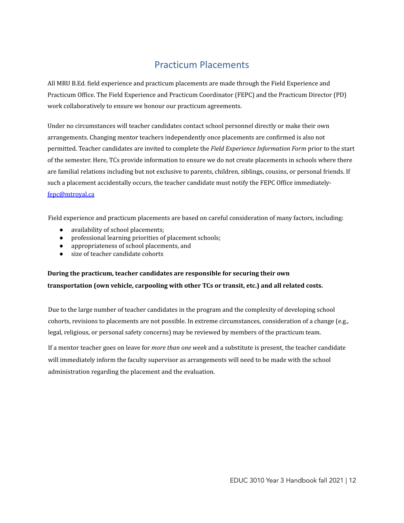# Practicum Placements

<span id="page-11-0"></span>All MRU B.Ed. field experience and practicum placements are made through the Field Experience and Practicum Office. The Field Experience and Practicum Coordinator (FEPC) and the Practicum Director (PD) work collaboratively to ensure we honour our practicum agreements.

Under no circumstances will teacher candidates contact school personnel directly or make their own arrangements. Changing mentor teachers independently once placements are confirmed is also not permitted. Teacher candidates are invited to complete the *Field Experience Information Form* prior to the start of the semester. Here, TCs provide information to ensure we do not create placements in schools where there are familial relations including but not exclusive to parents, children, siblings, cousins, or personal friends. If such a placement accidentally occurs, the teacher candidate must notify the FEPC Office immediately[fepc@mtroyal.ca](mailto:fepc@mtroyal.ca)

Field experience and practicum placements are based on careful consideration of many factors, including:

- availability of school placements:
- professional learning priorities of placement schools;
- appropriateness of school placements, and
- size of teacher candidate cohorts

### **During the practicum, teacher candidates are responsible for securing their own transportation (own vehicle, carpooling with other TCs or transit, etc.) and all related costs.**

Due to the large number of teacher candidates in the program and the complexity of developing school cohorts, revisions to placements are not possible. In extreme circumstances, consideration of a change (e.g., legal, religious, or personal safety concerns) may be reviewed by members of the practicum team.

If a mentor teacher goes on leave for *more than one week* and a substitute is present, the teacher candidate will immediately inform the faculty supervisor as arrangements will need to be made with the school administration regarding the placement and the evaluation.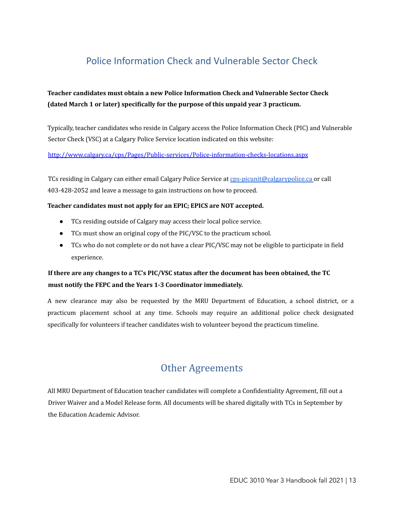# <span id="page-12-0"></span>Police Information Check and Vulnerable Sector Check

### **Teacher candidates must obtain a new Police Information Check and Vulnerable Sector Check (dated March 1 or later) specifically for the purpose of this unpaid year 3 practicum.**

Typically, teacher candidates who reside in Calgary access the Police Information Check (PIC) and Vulnerable Sector Check (VSC) at a Calgary Police Service location indicated on this website:

http://www.calgary.ca/cps/Pages/Public-services/Police-information-checks-locations.aspx

TCs residing in Calgary can either email Calgary Police Service at cps-picunit@calgarypolice.ca or call 403-428-2052 and leave a message to gain instructions on how to proceed.

### **Teacher candidates must not apply for an EPIC; EPICS are NOT accepted.**

- TCs residing outside of Calgary may access their local police service.
- TCs must show an original copy of the PIC/VSC to the practicum school.
- TCs who do not complete or do not have a clear PIC/VSC may not be eligible to participate in field experience.

### **If there are any changes to a TC's PIC/VSC status after the document has been obtained, the TC must notify the FEPC and the Years 1-3 Coordinator immediately.**

A new clearance may also be requested by the MRU Department of Education, a school district, or a practicum placement school at any time. Schools may require an additional police check designated specifically for volunteers if teacher candidates wish to volunteer beyond the practicum timeline.

# Other Agreements

<span id="page-12-1"></span>All MRU Department of Education teacher candidates will complete a Confidentiality Agreement, fill out a Driver Waiver and a Model Release form. All documents will be shared digitally with TCs in September by the Education Academic Advisor.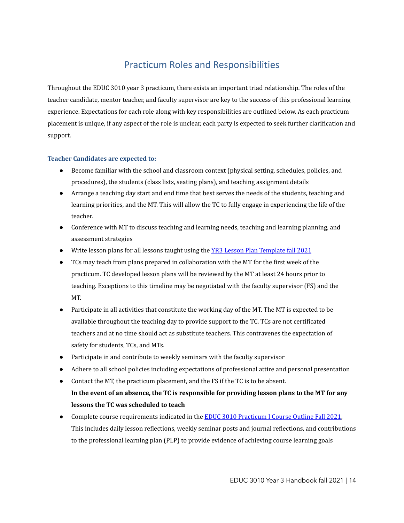# Practicum Roles and Responsibilities

<span id="page-13-0"></span>Throughout the EDUC 3010 year 3 practicum, there exists an important triad relationship. The roles of the teacher candidate, mentor teacher, and faculty supervisor are key to the success of this professional learning experience. Expectations for each role along with key responsibilities are outlined below. As each practicum placement is unique, if any aspect of the role is unclear, each party is expected to seek further clarification and support.

### **Teacher Candidates are expected to:**

- Become familiar with the school and classroom context (physical setting, schedules, policies, and procedures), the students (class lists, seating plans), and teaching assignment details
- Arrange a teaching day start and end time that best serves the needs of the students, teaching and learning priorities, and the MT. This will allow the TC to fully engage in experiencing the life of the teacher.
- Conference with MT to discuss teaching and learning needs, teaching and learning planning, and assessment strategies
- Write lesson plans for all lessons taught using the YR3 Lesson Plan [Template](https://docs.google.com/document/d/15gVtFf6_zPonooC3xl4ppAQE6DeKqzy1NDvKmVRLqg0/edit?usp=sharing) fall 2021
- TCs may teach from plans prepared in collaboration with the MT for the first week of the practicum. TC developed lesson plans will be reviewed by the MT at least 24 hours prior to teaching. Exceptions to this timeline may be negotiated with the faculty supervisor (FS) and the MT.
- Participate in all activities that constitute the working day of the MT. The MT is expected to be available throughout the teaching day to provide support to the TC. TCs are not certificated teachers and at no time should act as substitute teachers. This contravenes the expectation of safety for students, TCs, and MTs.
- Participate in and contribute to weekly seminars with the faculty supervisor
- Adhere to all school policies including expectations of professional attire and personal presentation
- Contact the MT, the practicum placement, and the FS if the TC is to be absent. In the event of an absence, the TC is responsible for providing lesson plans to the MT for any **lessons the TC was scheduled to teach**
- Complete course requirements indicated in the **EDUC 3010 [Practicum](https://docs.google.com/document/d/1wmCb-0KcrOLz2P5lvDL22W4sCO08FE9IuJGg5GDDh6Q/edit?usp=sharing) I Course Outline Fall 2021**, This includes daily lesson reflections, weekly seminar posts and journal reflections, and contributions to the professional learning plan (PLP) to provide evidence of achieving course learning goals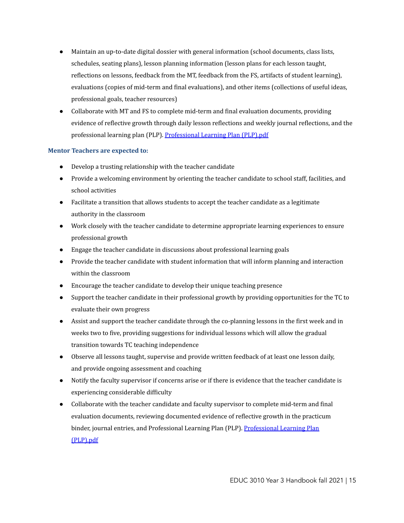- Maintain an up-to-date digital dossier with general information (school documents, class lists, schedules, seating plans), lesson planning information (lesson plans for each lesson taught, reflections on lessons, feedback from the MT, feedback from the FS, artifacts of student learning), evaluations (copies of mid-term and final evaluations), and other items (collections of useful ideas, professional goals, teacher resources)
- Collaborate with MT and FS to complete mid-term and final evaluation documents, providing evidence of reflective growth through daily lesson reflections and weekly journal reflections, and the professional learning plan (PLP). [Professional](https://drive.google.com/file/d/1-WY6Jn0vgPwX5jYvNalO-5hXH_Jn5Nc5/view?usp=sharing) Learning Plan (PLP).pdf

### **Mentor Teachers are expected to:**

- Develop a trusting relationship with the teacher candidate
- Provide a welcoming environment by orienting the teacher candidate to school staff, facilities, and school activities
- Facilitate a transition that allows students to accept the teacher candidate as a legitimate authority in the classroom
- Work closely with the teacher candidate to determine appropriate learning experiences to ensure professional growth
- Engage the teacher candidate in discussions about professional learning goals
- Provide the teacher candidate with student information that will inform planning and interaction within the classroom
- Encourage the teacher candidate to develop their unique teaching presence
- Support the teacher candidate in their professional growth by providing opportunities for the TC to evaluate their own progress
- Assist and support the teacher candidate through the co-planning lessons in the first week and in weeks two to five, providing suggestions for individual lessons which will allow the gradual transition towards TC teaching independence
- Observe all lessons taught, supervise and provide written feedback of at least one lesson daily, and provide ongoing assessment and coaching
- Notify the faculty supervisor if concerns arise or if there is evidence that the teacher candidate is experiencing considerable difficulty
- Collaborate with the teacher candidate and faculty supervisor to complete mid-term and final evaluation documents, reviewing documented evidence of reflective growth in the practicum binder, journal entries, and [Professional](https://drive.google.com/file/d/1-WY6Jn0vgPwX5jYvNalO-5hXH_Jn5Nc5/view?usp=sharing) Learning Plan (PLP). Professional Learning Plan [\(PLP\).pdf](https://drive.google.com/file/d/1-WY6Jn0vgPwX5jYvNalO-5hXH_Jn5Nc5/view?usp=sharing)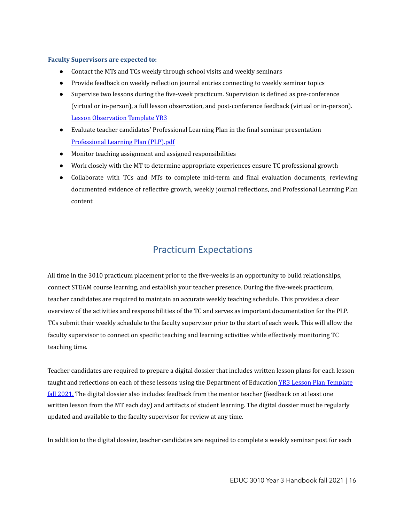### **Faculty Supervisors are expected to:**

- Contact the MTs and TCs weekly through school visits and weekly seminars
- Provide feedback on weekly reflection journal entries connecting to weekly seminar topics
- Supervise two lessons during the five-week practicum. Supervision is defined as pre-conference (virtual or in-person), a full lesson observation, and post-conference feedback (virtual or in-person). Lesson [Observation](https://docs.google.com/document/d/1HOyYiezFZCqnJNAWHOmg4uuJUALUnWyFPztlzZyHPfY/edit?usp=sharing) Template YR3
- Evaluate teacher candidates' Professional Learning Plan in the final seminar presentation [Professional](https://drive.google.com/file/d/1-WY6Jn0vgPwX5jYvNalO-5hXH_Jn5Nc5/view?usp=sharing) Learning Plan (PLP).pdf
- Monitor teaching assignment and assigned responsibilities
- Work closely with the MT to determine appropriate experiences ensure TC professional growth
- Collaborate with TCs and MTs to complete mid-term and final evaluation documents, reviewing documented evidence of reflective growth, weekly journal reflections, and Professional Learning Plan content

### Practicum Expectations

<span id="page-15-0"></span>All time in the 3010 practicum placement prior to the five-weeks is an opportunity to build relationships, connect STEAM course learning, and establish your teacher presence. During the five-week practicum, teacher candidates are required to maintain an accurate weekly teaching schedule. This provides a clear overview of the activities and responsibilities of the TC and serves as important documentation for the PLP. TCs submit their weekly schedule to the faculty supervisor prior to the start of each week. This will allow the faculty supervisor to connect on specific teaching and learning activities while effectively monitoring TC teaching time.

Teacher candidates are required to prepare a digital dossier that includes written lesson plans for each lesson taught and reflections on each of these lessons using the Department of Education YR3 Lesson Plan [Template](https://docs.google.com/document/d/15gVtFf6_zPonooC3xl4ppAQE6DeKqzy1NDvKmVRLqg0/edit?usp=sharing) fall [2021.](https://docs.google.com/document/d/15gVtFf6_zPonooC3xl4ppAQE6DeKqzy1NDvKmVRLqg0/edit?usp=sharing) The digital dossier also includes feedback from the mentor teacher (feedback on at least one written lesson from the MT each day) and artifacts of student learning. The digital dossier must be regularly updated and available to the faculty supervisor for review at any time.

In addition to the digital dossier, teacher candidates are required to complete a weekly seminar post for each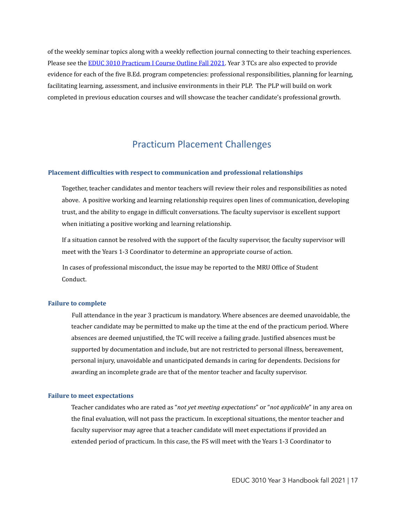of the weekly seminar topics along with a weekly reflection journal connecting to their teaching experiences. Please see the EDUC 3010 [Practicum](https://docs.google.com/document/d/1wmCb-0KcrOLz2P5lvDL22W4sCO08FE9IuJGg5GDDh6Q/edit?usp=sharing) I Course Outline Fall 2021. Year 3 TCs are also expected to provide evidence for each of the five B.Ed. program competencies: professional responsibilities, planning for learning, facilitating learning, assessment, and inclusive environments in their PLP. The PLP will build on work completed in previous education courses and will showcase the teacher candidate's professional growth.

### Practicum Placement Challenges

#### <span id="page-16-0"></span>**Placement difficulties with respect to communication and professional relationships**

Together, teacher candidates and mentor teachers will review their roles and responsibilities as noted above. A positive working and learning relationship requires open lines of communication, developing trust, and the ability to engage in difficult conversations. The faculty supervisor is excellent support when initiating a positive working and learning relationship.

If a situation cannot be resolved with the support of the faculty supervisor, the faculty supervisor will meet with the Years 1-3 Coordinator to determine an appropriate course of action.

In cases of professional misconduct, the issue may be reported to the MRU Office of Student Conduct.

#### **Failure to complete**

Full attendance in the year 3 practicum is mandatory. Where absences are deemed unavoidable, the teacher candidate may be permitted to make up the time at the end of the practicum period. Where absences are deemed unjustified, the TC will receive a failing grade. Justified absences must be supported by documentation and include, but are not restricted to personal illness, bereavement, personal injury, unavoidable and unanticipated demands in caring for dependents. Decisions for awarding an incomplete grade are that of the mentor teacher and faculty supervisor.

#### **Failure to meet expectations**

Teacher candidates who are rated as "*not yet meeting expectations*" or "*not applicable*" in any area on the final evaluation, will not pass the practicum. In exceptional situations, the mentor teacher and faculty supervisor may agree that a teacher candidate will meet expectations if provided an extended period of practicum. In this case, the FS will meet with the Years 1-3 Coordinator to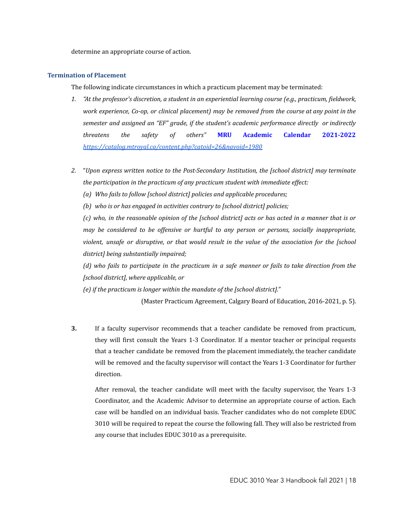determine an appropriate course of action.

#### **Termination of Placement**

The following indicate circumstances in which a practicum placement may be terminated:

- *1. "At the professor's discretion, a student in an experiential learning course (e.g., practicum, fieldwork, work experience, Co-op, or clinical placement) may be removed from the course at any point in the semester and assigned an "EF" grade, if the student's academic performance directly or indirectly threatens the safety of others"* **MRU Academic Calendar 2021-2022** *<https://catalog.mtroyal.ca/content.php?catoid=26&navoid=1980>*
- *2.* "*Upon express written notice to the Post-Secondary Institution, the [school district] may terminate the participation in the practicum of any practicum student with immediate ef ect:*
	- *(a) Who fails to follow [school district] policies and applicable procedures;*
	- *(b) who is or has engaged in activities contrary to [school district] policies;*

(c) who, in the reasonable opinion of the [school district] acts or has acted in a manner that is or *may be considered to be of ensive or hurtful to any person or persons, socially inappropriate, violent, unsafe or disruptive, or that would result in the value of the association for the [school district] being substantially impaired;*

(d) who fails to participate in the practicum in a safe manner or fails to take direction from the *[school district], where applicable, or*

*(e) if the practicum is longer within the mandate of the [school district]."*

(Master Practicum Agreement, Calgary Board of Education, 2016-2021, p. 5).

**3.** If a faculty supervisor recommends that a teacher candidate be removed from practicum, they will first consult the Years 1-3 Coordinator. If a mentor teacher or principal requests that a teacher candidate be removed from the placement immediately, the teacher candidate will be removed and the faculty supervisor will contact the Years 1-3 Coordinator for further direction.

After removal, the teacher candidate will meet with the faculty supervisor, the Years 1-3 Coordinator, and the Academic Advisor to determine an appropriate course of action. Each case will be handled on an individual basis. Teacher candidates who do not complete EDUC 3010 will be required to repeat the course the following fall. They will also be restricted from any course that includes EDUC 3010 as a prerequisite.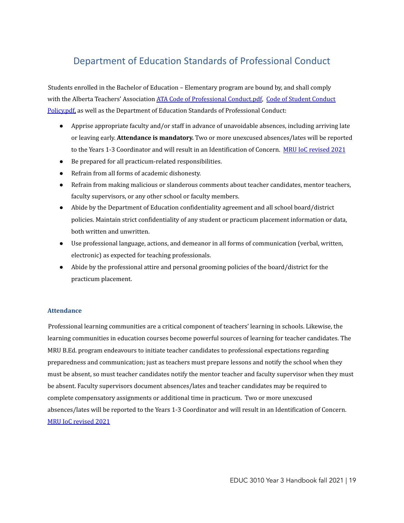# <span id="page-18-0"></span>Department of Education Standards of Professional Conduct

Students enrolled in the Bachelor of Education – Elementary program are bound by, and shall comply with the Alberta Teachers' Association ATA Code of [Professional](https://drive.google.com/file/d/1frFuDD2rbwcDoDTCueweNbC42E1XoeIs/view?usp=sharing) [Conduct](https://drive.google.com/file/d/1XSz1ZnERFnFopy1s4vmF4QB65_ChlhSi/view?usp=sharing).pdf, Code of Student Conduct [Policy.pdf](https://drive.google.com/file/d/1XSz1ZnERFnFopy1s4vmF4QB65_ChlhSi/view?usp=sharing), as well as the Department of Education Standards of Professional Conduct:

- Apprise appropriate faculty and/or staff in advance of unavoidable absences, including arriving late or leaving early. **Attendance is mandatory.** Two or more unexcused absences/lates will be reported to the Years 1-3 Coordinator and will result in an Identification of Concern. MRU IoC [revised](https://docs.google.com/document/d/1qfKyGZPK3ugYqAMS4q4Z7klzKy_w0xsaGYK2jxWiC_U/edit?usp=sharing) 2021
- Be prepared for all practicum-related responsibilities.
- Refrain from all forms of academic dishonesty.
- Refrain from making malicious or slanderous comments about teacher candidates, mentor teachers, faculty supervisors, or any other school or faculty members.
- Abide by the Department of Education confidentiality agreement and all school board/district policies. Maintain strict confidentiality of any student or practicum placement information or data, both written and unwritten.
- Use professional language, actions, and demeanor in all forms of communication (verbal, written, electronic) as expected for teaching professionals.
- Abide by the professional attire and personal grooming policies of the board/district for the practicum placement.

### **Attendance**

Professional learning communities are a critical component of teachers' learning in schools. Likewise, the learning communities in education courses become powerful sources of learning for teacher candidates. The MRU B.Ed. program endeavours to initiate teacher candidates to professional expectations regarding preparedness and communication; just as teachers must prepare lessons and notify the school when they must be absent, so must teacher candidates notify the mentor teacher and faculty supervisor when they must be absent. Faculty supervisors document absences/lates and teacher candidates may be required to complete compensatory assignments or additional time in practicum. Two or more unexcused absences/lates will be reported to the Years 1-3 Coordinator and will result in an Identification of Concern. MRU IoC [revised](https://docs.google.com/document/d/1qfKyGZPK3ugYqAMS4q4Z7klzKy_w0xsaGYK2jxWiC_U/edit?usp=sharing) 2021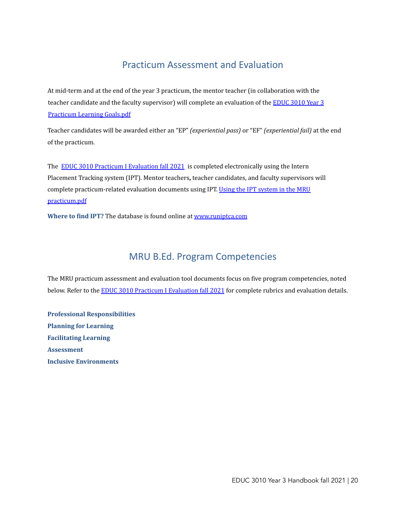## Practicum Assessment and Evaluation

<span id="page-19-0"></span>At mid-term and at the end of the year 3 practicum, the mentor teacher (in collaboration with the teacher candidate and the faculty supervisor) will complete an evaluation of the [EDUC](https://drive.google.com/file/d/1D3irLRbzOLolpc_tgRTgtEOaWssRnR-_/view?usp=sharing) 3010 Year 3 [Practicum](https://drive.google.com/file/d/1D3irLRbzOLolpc_tgRTgtEOaWssRnR-_/view?usp=sharing) Learning Goals.pdf

Teacher candidates will be awarded either an "EP" *(experiential pass)* or "EF" *(experiential fail)* at the end of the practicum.

The **EDUC 3010 Practicum I [Evaluation](https://docs.google.com/document/d/11eobmSnMovNAtKLsj6OCBLOHz0qo-miIhAwG4tPPlW8/edit?usp=sharing) fall 2021** is completed electronically using the Intern Placement Tracking system (IPT). Mentor teachers**,** teacher candidates, and faculty supervisors will complete practicum-related evaluation documents using IPT. Using the IPT [system](https://drive.google.com/file/d/1h-aJtVkt3CFe91ACkxUBEi-FnzlpjXTU/view?usp=sharing) in the MRU [practicum.pdf](https://drive.google.com/file/d/1h-aJtVkt3CFe91ACkxUBEi-FnzlpjXTU/view?usp=sharing)

<span id="page-19-1"></span>**Where to find IPT?** The database is found online at [www.runiptca.com](http://www.runiptca.com)

## MRU B.Ed. Program Competencies

The MRU practicum assessment and evaluation tool documents focus on five program competencies, noted below. Refer to the EDUC 3010 Practicum I [Evaluation](https://docs.google.com/document/d/11eobmSnMovNAtKLsj6OCBLOHz0qo-miIhAwG4tPPlW8/edit?usp=sharing) fall 2021 for complete rubrics and evaluation details.

**Professional Responsibilities Planning for Learning Facilitating Learning Assessment Inclusive Environments**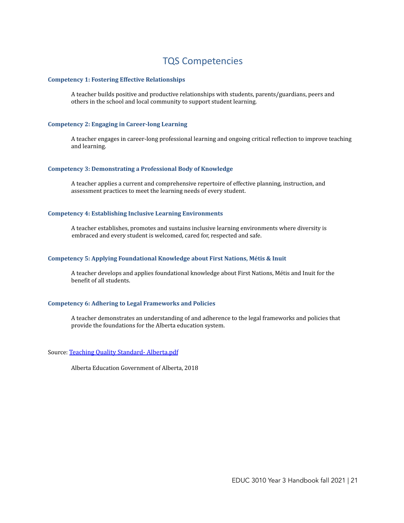### TQS Competencies

#### <span id="page-20-0"></span>**Competency 1: Fostering Effective Relationships**

A teacher builds positive and productive relationships with students, parents/guardians, peers and others in the school and local community to support student learning.

### **Competency 2: Engaging in Career-long Learning**

A teacher engages in career-long professional learning and ongoing critical reflection to improve teaching and learning.

#### **Competency 3: Demonstrating a Professional Body of Knowledge**

A teacher applies a current and comprehensive repertoire of effective planning, instruction, and assessment practices to meet the learning needs of every student.

#### **Competency 4: Establishing Inclusive Learning Environments**

A teacher establishes, promotes and sustains inclusive learning environments where diversity is embraced and every student is welcomed, cared for, respected and safe.

#### **Competency 5: Applying Foundational Knowledge about First Nations, Métis & Inuit**

A teacher develops and applies foundational knowledge about First Nations, Métis and Inuit for the benefit of all students.

#### **Competency 6: Adhering to Legal Frameworks and Policies**

A teacher demonstrates an understanding of and adherence to the legal frameworks and policies that provide the foundations for the Alberta education system.

#### Source: Teaching Quality Standard- [Alberta.pdf](https://drive.google.com/file/d/1-3O4nZOYK6sVLQUAb6fK0zqNwqKewwgr/view?usp=sharing)

Alberta Education Government of Alberta, 2018